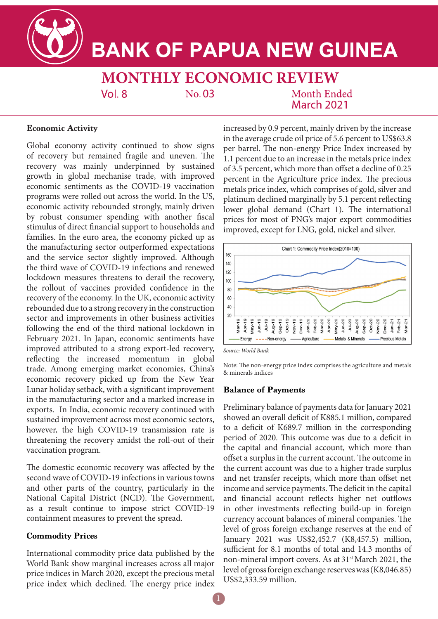**BANK OF PAPUA NEW GUINEA** 

**MONTHLY ECONOMIC REVIEW** No. 03  $Vol.8$ Month Ended **March 2021** 

## **Economic Activity**

Global economy activity continued to show signs of recovery but remained fragile and uneven. The recovery was mainly underpinned by sustained growth in global mechanise trade, with improved economic sentiments as the COVID-19 vaccination programs were rolled out across the world. In the US, economic activity rebounded strongly, mainly driven by robust consumer spending with another fiscal stimulus of direct financial support to households and families. In the euro area, the economy picked up as the manufacturing sector outperformed expectations and the service sector slightly improved. Although the third wave of COVID-19 infections and renewed lockdown measures threatens to derail the recovery, the rollout of vaccines provided confidence in the recovery of the economy. In the UK, economic activity rebounded due to a strong recovery in the construction sector and improvements in other business activities following the end of the third national lockdown in February 2021. In Japan, economic sentiments have improved attributed to a strong export-led recovery, reflecting the increased momentum in global trade. Among emerging market economies, China's economic recovery picked up from the New Year Lunar holiday setback, with a significant improvement in the manufacturing sector and a marked increase in exports. In India, economic recovery continued with sustained improvement across most economic sectors, however, the high COVID-19 transmission rate is threatening the recovery amidst the roll-out of their vaccination program.

The domestic economic recovery was affected by the second wave of COVID-19 infections in various towns and other parts of the country, particularly in the National Capital District (NCD). The Government, as a result continue to impose strict COVID-19 containment measures to prevent the spread.

# **Commodity Prices**

International commodity price data published by the World Bank show marginal increases across all major price indices in March 2020, except the precious metal price index which declined. The energy price index increased by 0.9 percent, mainly driven by the increase in the average crude oil price of 5.6 percent to US\$63.8 per barrel. The non-energy Price Index increased by 1.1 percent due to an increase in the metals price index of 3.5 percent, which more than offset a decline of 0.25 percent in the Agriculture price index. The precious metals price index, which comprises of gold, silver and platinum declined marginally by 5.1 percent reflecting lower global demand (Chart 1). The international prices for most of PNG's major export commodities improved, except for LNG, gold, nickel and silver.



*Source: World Bank*

Note: The non-energy price index comprises the agriculture and metals & minerals indices

### **Balance of Payments**

Preliminary balance of payments data for January 2021 showed an overall deficit of K885.1 million, compared to a deficit of K689.7 million in the corresponding period of 2020. This outcome was due to a deficit in the capital and financial account, which more than offset a surplus in the current account. The outcome in the current account was due to a higher trade surplus and net transfer receipts, which more than offset net income and service payments. The deficit in the capital and financial account reflects higher net outflows in other investments reflecting build-up in foreign currency account balances of mineral companies. The level of gross foreign exchange reserves at the end of January 2021 was US\$2,452.7 (K8,457.5) million, sufficient for 8.1 months of total and 14.3 months of non-mineral import covers. As at 31<sup>st</sup> March 2021, the level of gross foreign exchange reserves was (K8,046.85) US\$2,333.59 million.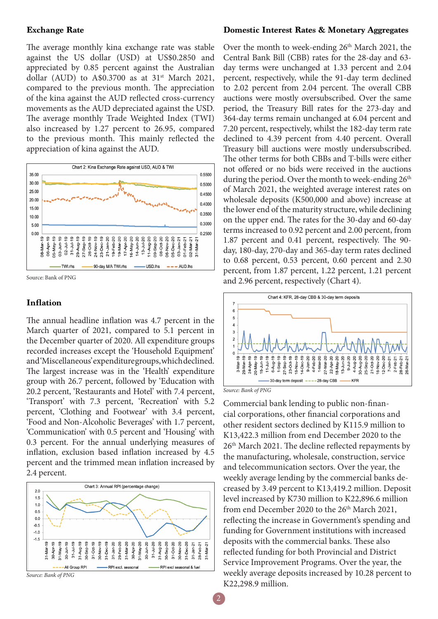#### **Exchange Rate**

The average monthly kina exchange rate was stable against the US dollar (USD) at US\$0.2850 and appreciated by 0.85 percent against the Australian dollar (AUD) to A\$0.3700 as at  $31<sup>st</sup>$  March 2021, compared to the previous month. The appreciation of the kina against the AUD reflected cross-currency movements as the AUD depreciated against the USD. The average monthly Trade Weighted Index (TWI) also increased by 1.27 percent to 26.95, compared to the previous month. This mainly reflected the appreciation of kina against the AUD.



Source: Bank of PNG

#### **Inflation**

The annual headline inflation was 4.7 percent in the March quarter of 2021, compared to 5.1 percent in the December quarter of 2020. All expenditure groups recorded increases except the 'Household Equipment' and 'Miscellaneous' expenditure groups, which declined. The largest increase was in the 'Health' expenditure group with 26.7 percent, followed by 'Education with 20.2 percent, 'Restaurants and Hotel' with 7.4 percent, 'Transport' with 7.3 percent, 'Recreation' with 5.2 percent, 'Clothing and Footwear' with 3.4 percent, 'Food and Non-Alcoholic Beverages' with 1.7 percent, 'Communication' with 0.5 percent and 'Housing' with 0.3 percent. For the annual underlying measures of inflation, exclusion based inflation increased by 4.5 percent and the trimmed mean inflation increased by 2.4 percent.



#### *Source: Bank of PNG*

#### **Domestic Interest Rates & Monetary Aggregates**

Over the month to week-ending 26<sup>th</sup> March 2021, the Central Bank Bill (CBB) rates for the 28-day and 63 day terms were unchanged at 1.33 percent and 2.04 percent, respectively, while the 91-day term declined to 2.02 percent from 2.04 percent. The overall CBB auctions were mostly oversubscribed. Over the same period, the Treasury Bill rates for the 273-day and 364-day terms remain unchanged at 6.04 percent and 7.20 percent, respectively, whilst the 182-day term rate declined to 4.39 percent from 4.40 percent. Overall Treasury bill auctions were mostly undersubscribed. The other terms for both CBBs and T-bills were either not offered or no bids were received in the auctions during the period. Over the month to week-ending  $26<sup>th</sup>$ of March 2021, the weighted average interest rates on wholesale deposits (K500,000 and above) increase at the lower end of the maturity structure, while declining on the upper end. The rates for the 30-day and 60-day terms increased to 0.92 percent and 2.00 percent, from 1.87 percent and 0.41 percent, respectively. The 90 day, 180-day, 270-day and 365-day term rates declined to 0.68 percent, 0.53 percent, 0.60 percent and 2.30 percent, from 1.87 percent, 1.22 percent, 1.21 percent and 2.96 percent, respectively (Chart 4).



*Source: Bank of PNG*

Commercial bank lending to public non-financial corporations, other financial corporations and other resident sectors declined by K115.9 million to K13,422.3 million from end December 2020 to the 26th March 2021. The decline reflected repayments by the manufacturing, wholesale, construction, service and telecommunication sectors. Over the year, the weekly average lending by the commercial banks decreased by 3.49 percent to K13,419.2 million. Deposit level increased by K730 million to K22,896.6 million from end December 2020 to the  $26<sup>th</sup>$  March 2021, reflecting the increase in Government's spending and funding for Government institutions with increased deposits with the commercial banks. These also reflected funding for both Provincial and District Service Improvement Programs. Over the year, the weekly average deposits increased by 10.28 percent to K22,298.9 million.